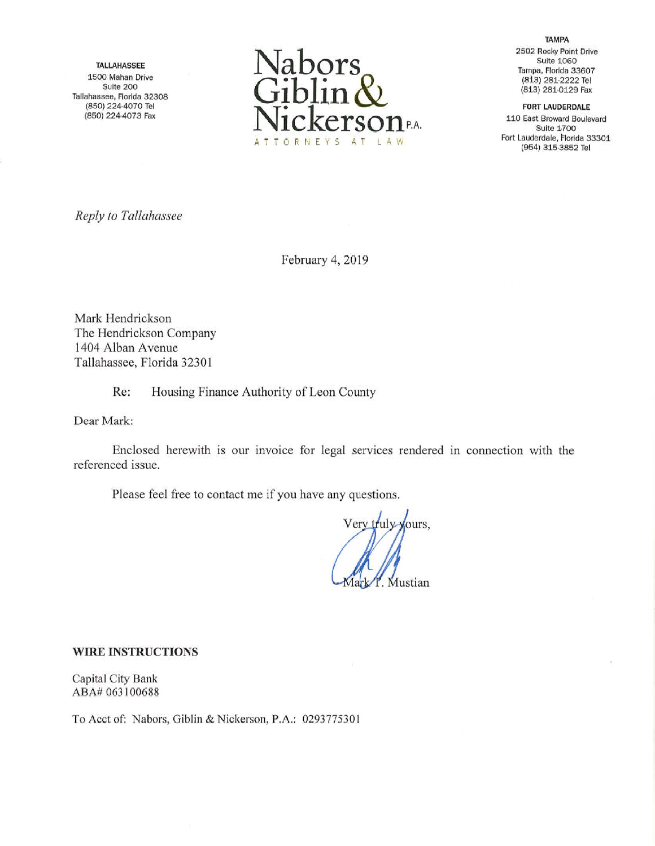TALLAHASSEE 1500 Mahan Drive Suite 200 Tallahassee, Florida 32308 (850) 224-4070 Tel (850) 224-4073 Fax



**TAMPA** 2502 Rocky Point Drive Suite 1060 Tampa, Florida 33607 (8i3) 281-2222 Tel (813) 281-0129 Fax

FORT LAUDERDALE

110 East Broward Boulevard Suite 1.700 Fort Lauderdale, Florida 33301 (954) 315-3852 Tel

Reply to Tallahassee

February 4, 2019

Mark Hendrickson The Hendrickson Company 1404 Alban Avenue Tallahassee, Florida 32301

Re: Housing Finance Authority of Leon County

Dear Mark:

Enclosed herewith is our invoice for legal services rendered in connection with the referenced issue.

Please feel free to contact me if you have any questions.

Very truly-yours, Mustian

## WIRE INSTRUCTIONS

Capital City Bank ABA# 063100688

To Acct of: Nabors, Giblin & Nickerson, P.A.: 0293775301